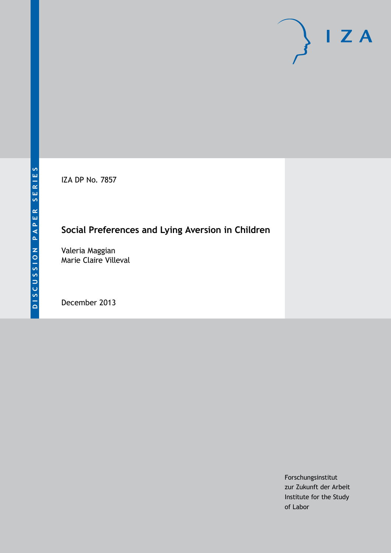IZA DP No. 7857

# **Social Preferences and Lying Aversion in Children**

Valeria Maggian Marie Claire Villeval

December 2013

Forschungsinstitut zur Zukunft der Arbeit Institute for the Study of Labor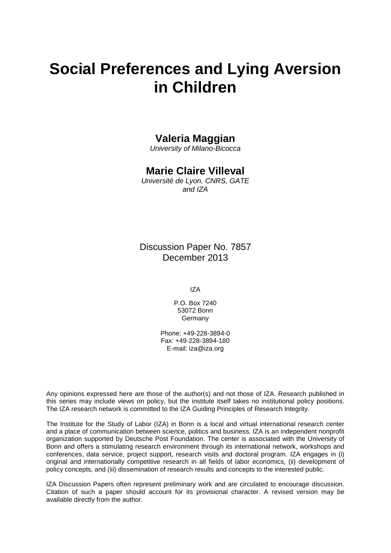# **Social Preferences and Lying Aversion in Children**

### **Valeria Maggian**

*University of Milano-Bicocca*

### **Marie Claire Villeval**

*Université de Lyon, CNRS, GATE and IZA*

Discussion Paper No. 7857 December 2013

IZA

P.O. Box 7240 53072 Bonn Germany

Phone: +49-228-3894-0 Fax: +49-228-3894-180 E-mail: [iza@iza.org](mailto:iza@iza.org)

Any opinions expressed here are those of the author(s) and not those of IZA. Research published in this series may include views on policy, but the institute itself takes no institutional policy positions. The IZA research network is committed to the IZA Guiding Principles of Research Integrity.

The Institute for the Study of Labor (IZA) in Bonn is a local and virtual international research center and a place of communication between science, politics and business. IZA is an independent nonprofit organization supported by Deutsche Post Foundation. The center is associated with the University of Bonn and offers a stimulating research environment through its international network, workshops and conferences, data service, project support, research visits and doctoral program. IZA engages in (i) original and internationally competitive research in all fields of labor economics, (ii) development of policy concepts, and (iii) dissemination of research results and concepts to the interested public.

<span id="page-1-0"></span>IZA Discussion Papers often represent preliminary work and are circulated to encourage discussion. Citation of such a paper should account for its provisional character. A revised version may be available directly from the author.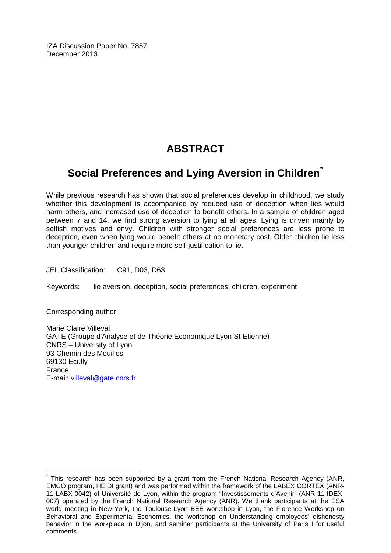IZA Discussion Paper No. 7857 December 2013

# **ABSTRACT**

# **Social Preferences and Lying Aversion in Children[\\*](#page-1-0)**

While previous research has shown that social preferences develop in childhood, we study whether this development is accompanied by reduced use of deception when lies would harm others, and increased use of deception to benefit others. In a sample of children aged between 7 and 14, we find strong aversion to lying at all ages. Lying is driven mainly by selfish motives and envy. Children with stronger social preferences are less prone to deception, even when lying would benefit others at no monetary cost. Older children lie less than younger children and require more self-justification to lie.

JEL Classification: C91, D03, D63

Keywords: lie aversion, deception, social preferences, children, experiment

Corresponding author:

Marie Claire Villeval GATE (Groupe d'Analyse et de Théorie Economique Lyon St Etienne) CNRS – University of Lyon 93 Chemin des Mouilles 69130 Ecully France E-mail: [villeval@gate.cnrs.fr](mailto:villeval@gate.cnrs.fr)

This research has been supported by a grant from the French National Research Agency (ANR, EMCO program, HEIDI grant) and was performed within the framework of the LABEX CORTEX (ANR-11-LABX-0042) of Université de Lyon, within the program "Investissements d'Avenir" (ANR-11-IDEX-007) operated by the French National Research Agency (ANR). We thank participants at the ESA world meeting in New-York, the Toulouse-Lyon BEE workshop in Lyon, the Florence Workshop on Behavioral and Experimental Economics, the workshop on Understanding employees' dishonesty behavior in the workplace in Dijon, and seminar participants at the University of Paris I for useful comments.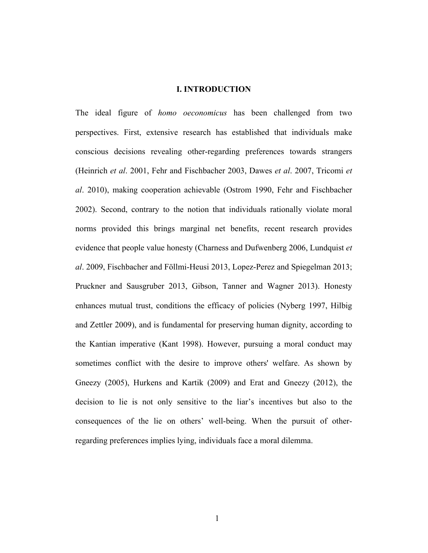#### **I. INTRODUCTION**

The ideal figure of *homo oeconomicus* has been challenged from two perspectives. First, extensive research has established that individuals make conscious decisions revealing other-regarding preferences towards strangers (Heinrich *et al*. 2001, Fehr and Fischbacher 2003, Dawes *et al*. 2007, Tricomi *et al*. 2010), making cooperation achievable (Ostrom 1990, Fehr and Fischbacher 2002). Second, contrary to the notion that individuals rationally violate moral norms provided this brings marginal net benefits, recent research provides evidence that people value honesty (Charness and Dufwenberg 2006, Lundquist *et al*. 2009, Fischbacher and Föllmi-Heusi 2013, Lopez-Perez and Spiegelman 2013; Pruckner and Sausgruber 2013, Gibson, Tanner and Wagner 2013). Honesty enhances mutual trust, conditions the efficacy of policies (Nyberg 1997, Hilbig and Zettler 2009), and is fundamental for preserving human dignity, according to the Kantian imperative (Kant 1998). However, pursuing a moral conduct may sometimes conflict with the desire to improve others' welfare. As shown by Gneezy (2005), Hurkens and Kartik (2009) and Erat and Gneezy (2012), the decision to lie is not only sensitive to the liar's incentives but also to the consequences of the lie on others' well-being. When the pursuit of otherregarding preferences implies lying, individuals face a moral dilemma.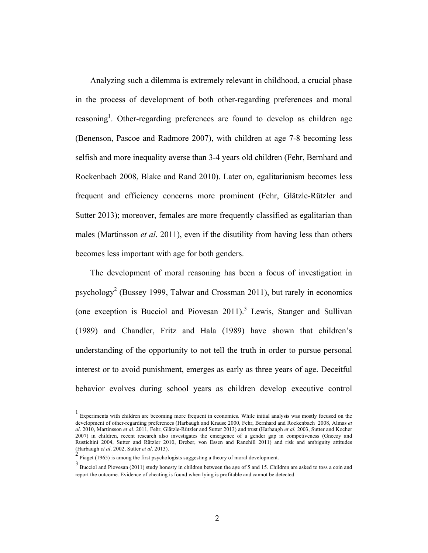Analyzing such a dilemma is extremely relevant in childhood, a crucial phase in the process of development of both other-regarding preferences and moral reasoning<sup>1</sup>. Other-regarding preferences are found to develop as children age (Benenson, Pascoe and Radmore 2007), with children at age 7-8 becoming less selfish and more inequality averse than 3-4 years old children (Fehr, Bernhard and Rockenbach 2008, Blake and Rand 2010). Later on, egalitarianism becomes less frequent and efficiency concerns more prominent (Fehr, Glätzle-Rützler and Sutter 2013); moreover, females are more frequently classified as egalitarian than males (Martinsson *et al*. 2011), even if the disutility from having less than others becomes less important with age for both genders.

The development of moral reasoning has been a focus of investigation in psychology<sup>2</sup> (Bussey 1999, Talwar and Crossman 2011), but rarely in economics (one exception is Bucciol and Piovesan  $2011$ ).<sup>3</sup> Lewis, Stanger and Sullivan (1989) and Chandler, Fritz and Hala (1989) have shown that children's understanding of the opportunity to not tell the truth in order to pursue personal interest or to avoid punishment, emerges as early as three years of age. Deceitful behavior evolves during school years as children develop executive control

<sup>1</sup> Experiments with children are becoming more frequent in economics. While initial analysis was mostly focused on the development of other-regarding preferences (Harbaugh and Krause 2000, Fehr, Bernhard and Rockenbach 2008, Almas *et al*. 2010, Martinsson *et al*. 2011, Fehr, Glätzle-Rützler and Sutter 2013) and trust (Harbaugh *et al.* 2003, Sutter and Kocher 2007) in children, recent research also investigates the emergence of a gender gap in competiveness (Gneezy and Rustichini 2004, Sutter and Rützler 2010, Dreber, von Essen and Ranehill 2011) and risk and ambiguity attitudes (Harbaugh *et al*. 2002, Sutter *et al*. 2013).

 $\frac{2}{2}$  Piaget (1965) is among the first psychologists suggesting a theory of moral development.

<sup>3</sup> Bucciol and Piovesan (2011) study honesty in children between the age of 5 and 15. Children are asked to toss a coin and report the outcome. Evidence of cheating is found when lying is profitable and cannot be detected.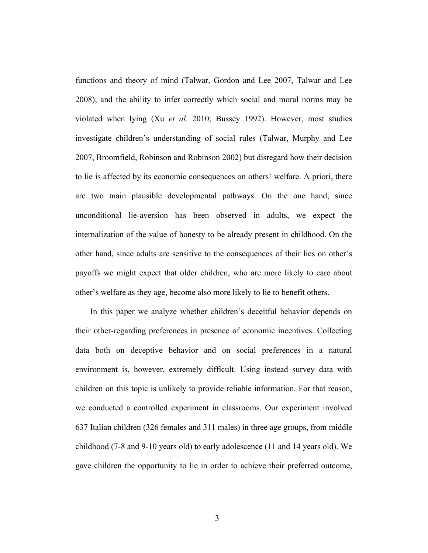functions and theory of mind (Talwar, Gordon and Lee 2007, Talwar and Lee 2008), and the ability to infer correctly which social and moral norms may be violated when lying (Xu *et al*. 2010; Bussey 1992). However, most studies investigate children's understanding of social rules (Talwar, Murphy and Lee 2007, Broomfield, Robinson and Robinson 2002) but disregard how their decision to lie is affected by its economic consequences on others' welfare. A priori, there are two main plausible developmental pathways. On the one hand, since unconditional lie-aversion has been observed in adults, we expect the internalization of the value of honesty to be already present in childhood. On the other hand, since adults are sensitive to the consequences of their lies on other's payoffs we might expect that older children, who are more likely to care about other's welfare as they age, become also more likely to lie to benefit others.

In this paper we analyze whether children's deceitful behavior depends on their other-regarding preferences in presence of economic incentives. Collecting data both on deceptive behavior and on social preferences in a natural environment is, however, extremely difficult. Using instead survey data with children on this topic is unlikely to provide reliable information. For that reason, we conducted a controlled experiment in classrooms. Our experiment involved 637 Italian children (326 females and 311 males) in three age groups, from middle childhood (7-8 and 9-10 years old) to early adolescence (11 and 14 years old). We gave children the opportunity to lie in order to achieve their preferred outcome,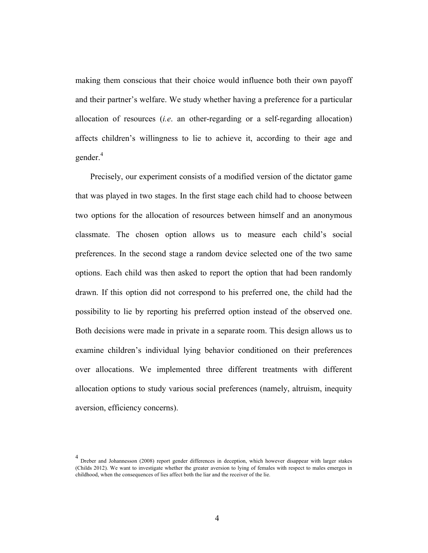making them conscious that their choice would influence both their own payoff and their partner's welfare. We study whether having a preference for a particular allocation of resources (*i.e*. an other-regarding or a self-regarding allocation) affects children's willingness to lie to achieve it, according to their age and gender. 4

Precisely, our experiment consists of a modified version of the dictator game that was played in two stages. In the first stage each child had to choose between two options for the allocation of resources between himself and an anonymous classmate. The chosen option allows us to measure each child's social preferences. In the second stage a random device selected one of the two same options. Each child was then asked to report the option that had been randomly drawn. If this option did not correspond to his preferred one, the child had the possibility to lie by reporting his preferred option instead of the observed one. Both decisions were made in private in a separate room. This design allows us to examine children's individual lying behavior conditioned on their preferences over allocations. We implemented three different treatments with different allocation options to study various social preferences (namely, altruism, inequity aversion, efficiency concerns).

<sup>4</sup> Dreber and Johannesson (2008) report gender differences in deception, which however disappear with larger stakes (Childs 2012). We want to investigate whether the greater aversion to lying of females with respect to males emerges in childhood, when the consequences of lies affect both the liar and the receiver of the lie.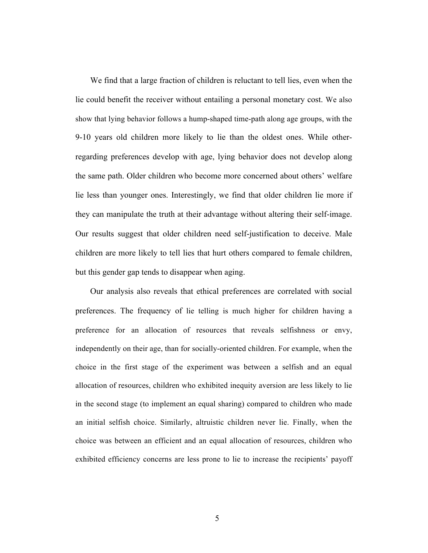We find that a large fraction of children is reluctant to tell lies, even when the lie could benefit the receiver without entailing a personal monetary cost. We also show that lying behavior follows a hump-shaped time-path along age groups, with the 9-10 years old children more likely to lie than the oldest ones. While otherregarding preferences develop with age, lying behavior does not develop along the same path. Older children who become more concerned about others' welfare lie less than younger ones. Interestingly, we find that older children lie more if they can manipulate the truth at their advantage without altering their self-image. Our results suggest that older children need self-justification to deceive. Male children are more likely to tell lies that hurt others compared to female children, but this gender gap tends to disappear when aging.

Our analysis also reveals that ethical preferences are correlated with social preferences. The frequency of lie telling is much higher for children having a preference for an allocation of resources that reveals selfishness or envy, independently on their age, than for socially-oriented children. For example, when the choice in the first stage of the experiment was between a selfish and an equal allocation of resources, children who exhibited inequity aversion are less likely to lie in the second stage (to implement an equal sharing) compared to children who made an initial selfish choice. Similarly, altruistic children never lie. Finally, when the choice was between an efficient and an equal allocation of resources, children who exhibited efficiency concerns are less prone to lie to increase the recipients' payoff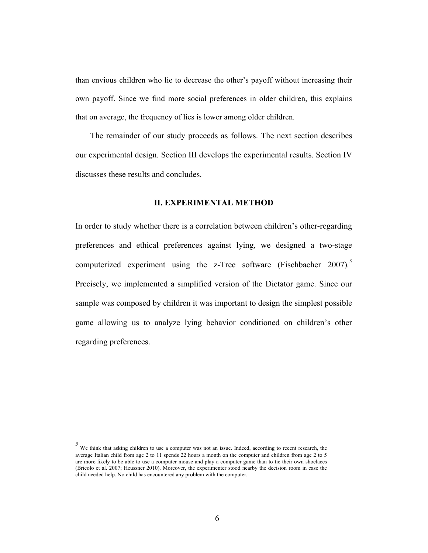than envious children who lie to decrease the other's payoff without increasing their own payoff. Since we find more social preferences in older children, this explains that on average, the frequency of lies is lower among older children.

The remainder of our study proceeds as follows. The next section describes our experimental design. Section III develops the experimental results. Section IV discusses these results and concludes.

#### **II. EXPERIMENTAL METHOD**

In order to study whether there is a correlation between children's other-regarding preferences and ethical preferences against lying, we designed a two-stage computerized experiment using the z-Tree software (Fischbacher 2007)*. 5* Precisely, we implemented a simplified version of the Dictator game. Since our sample was composed by children it was important to design the simplest possible game allowing us to analyze lying behavior conditioned on children's other regarding preferences.

*<sup>5</sup>* We think that asking children to use a computer was not an issue. Indeed, according to recent research, the average Italian child from age 2 to 11 spends 22 hours a month on the computer and children from age 2 to 5 are more likely to be able to use a computer mouse and play a computer game than to tie their own shoelaces (Bricolo et al. 2007; Heussner 2010). Moreover, the experimenter stood nearby the decision room in case the child needed help. No child has encountered any problem with the computer.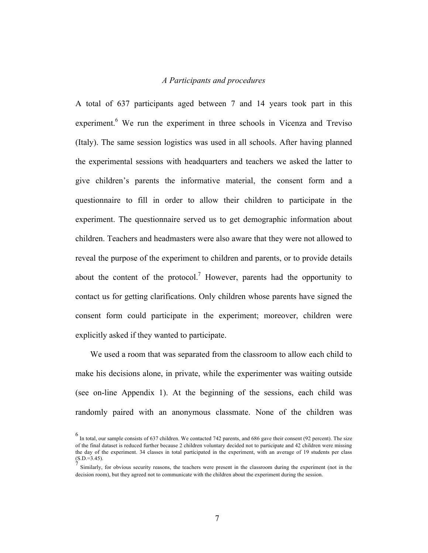#### *A Participants and procedures*

A total of 637 participants aged between 7 and 14 years took part in this experiment. <sup>6</sup> We run the experiment in three schools in Vicenza and Treviso (Italy). The same session logistics was used in all schools. After having planned the experimental sessions with headquarters and teachers we asked the latter to give children's parents the informative material, the consent form and a questionnaire to fill in order to allow their children to participate in the experiment. The questionnaire served us to get demographic information about children. Teachers and headmasters were also aware that they were not allowed to reveal the purpose of the experiment to children and parents, or to provide details about the content of the protocol.<sup>7</sup> However, parents had the opportunity to contact us for getting clarifications. Only children whose parents have signed the consent form could participate in the experiment; moreover, children were explicitly asked if they wanted to participate.

We used a room that was separated from the classroom to allow each child to make his decisions alone, in private, while the experimenter was waiting outside (see on-line Appendix 1). At the beginning of the sessions, each child was randomly paired with an anonymous classmate. None of the children was

<sup>6</sup> In total, our sample consists of 637 children. We contacted 742 parents, and 686 gave their consent (92 percent). The size of the final dataset is reduced further because 2 children voluntary decided not to participate and 42 children were missing the day of the experiment. 34 classes in total participated in the experiment, with an average of 19 students per class  $(S.D.=3.45)$ .

<sup>7</sup> Similarly, for obvious security reasons, the teachers were present in the classroom during the experiment (not in the decision room), but they agreed not to communicate with the children about the experiment during the session.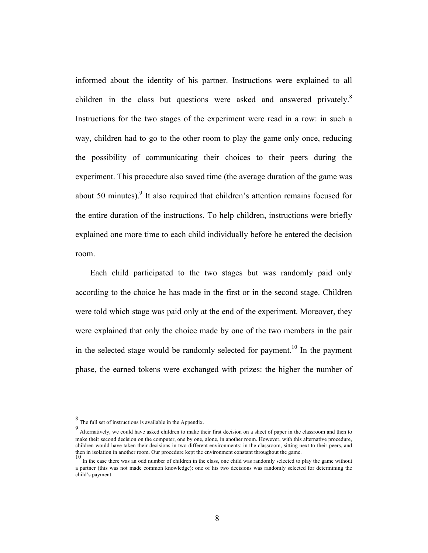informed about the identity of his partner. Instructions were explained to all children in the class but questions were asked and answered privately.<sup>8</sup> Instructions for the two stages of the experiment were read in a row: in such a way, children had to go to the other room to play the game only once, reducing the possibility of communicating their choices to their peers during the experiment. This procedure also saved time (the average duration of the game was about 50 minutes). It also required that children's attention remains focused for the entire duration of the instructions. To help children, instructions were briefly explained one more time to each child individually before he entered the decision room.

Each child participated to the two stages but was randomly paid only according to the choice he has made in the first or in the second stage. Children were told which stage was paid only at the end of the experiment. Moreover, they were explained that only the choice made by one of the two members in the pair in the selected stage would be randomly selected for payment.<sup>10</sup> In the payment phase, the earned tokens were exchanged with prizes: the higher the number of

<sup>8</sup> The full set of instructions is available in the Appendix.

<sup>9</sup> Alternatively, we could have asked children to make their first decision on a sheet of paper in the classroom and then to make their second decision on the computer, one by one, alone, in another room. However, with this alternative procedure, children would have taken their decisions in two different environments: in the classroom, sitting next to their peers, and then in isolation in another room. Our procedure kept the environment constant throughout the game.

<sup>10&</sup>lt;br>10 In the case there was an odd number of children in the class, one child was randomly selected to play the game without a partner (this was not made common knowledge): one of his two decisions was randomly selected for determining the child's payment.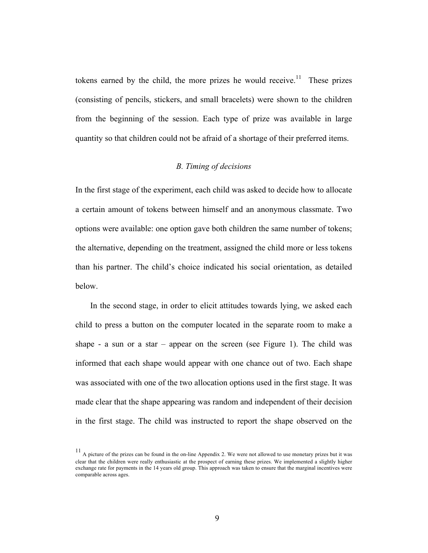tokens earned by the child, the more prizes he would receive.<sup>11</sup> These prizes (consisting of pencils, stickers, and small bracelets) were shown to the children from the beginning of the session. Each type of prize was available in large quantity so that children could not be afraid of a shortage of their preferred items.

#### *B. Timing of decisions*

In the first stage of the experiment, each child was asked to decide how to allocate a certain amount of tokens between himself and an anonymous classmate. Two options were available: one option gave both children the same number of tokens; the alternative, depending on the treatment, assigned the child more or less tokens than his partner. The child's choice indicated his social orientation, as detailed below.

In the second stage, in order to elicit attitudes towards lying, we asked each child to press a button on the computer located in the separate room to make a shape - a sun or a star – appear on the screen (see Figure 1). The child was informed that each shape would appear with one chance out of two. Each shape was associated with one of the two allocation options used in the first stage. It was made clear that the shape appearing was random and independent of their decision in the first stage. The child was instructed to report the shape observed on the

<sup>11</sup> A picture of the prizes can be found in the on-line Appendix 2. We were not allowed to use monetary prizes but it was clear that the children were really enthusiastic at the prospect of earning these prizes. We implemented a slightly higher exchange rate for payments in the 14 years old group. This approach was taken to ensure that the marginal incentives were comparable across ages.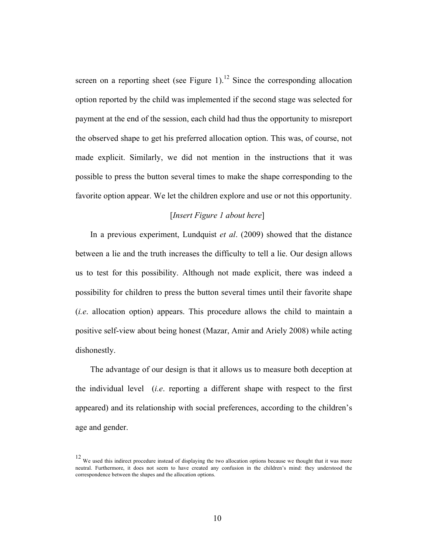screen on a reporting sheet (see Figure 1).<sup>12</sup> Since the corresponding allocation option reported by the child was implemented if the second stage was selected for payment at the end of the session, each child had thus the opportunity to misreport the observed shape to get his preferred allocation option. This was, of course, not made explicit. Similarly, we did not mention in the instructions that it was possible to press the button several times to make the shape corresponding to the favorite option appear. We let the children explore and use or not this opportunity.

#### [*Insert Figure 1 about here*]

In a previous experiment, Lundquist *et al*. (2009) showed that the distance between a lie and the truth increases the difficulty to tell a lie. Our design allows us to test for this possibility. Although not made explicit, there was indeed a possibility for children to press the button several times until their favorite shape (*i.e*. allocation option) appears. This procedure allows the child to maintain a positive self-view about being honest (Mazar, Amir and Ariely 2008) while acting dishonestly.

The advantage of our design is that it allows us to measure both deception at the individual level (*i.e*. reporting a different shape with respect to the first appeared) and its relationship with social preferences, according to the children's age and gender.

<sup>12</sup> We used this indirect procedure instead of displaying the two allocation options because we thought that it was more neutral. Furthermore, it does not seem to have created any confusion in the children's mind: they understood the correspondence between the shapes and the allocation options.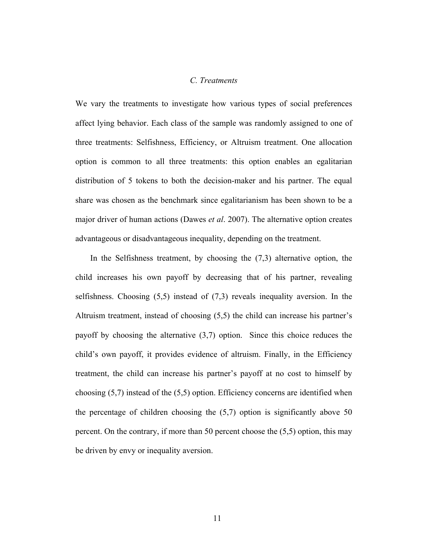#### *C. Treatments*

We vary the treatments to investigate how various types of social preferences affect lying behavior. Each class of the sample was randomly assigned to one of three treatments: Selfishness, Efficiency, or Altruism treatment. One allocation option is common to all three treatments: this option enables an egalitarian distribution of 5 tokens to both the decision-maker and his partner. The equal share was chosen as the benchmark since egalitarianism has been shown to be a major driver of human actions (Dawes *et al*. 2007). The alternative option creates advantageous or disadvantageous inequality, depending on the treatment.

In the Selfishness treatment, by choosing the (7,3) alternative option, the child increases his own payoff by decreasing that of his partner, revealing selfishness. Choosing (5,5) instead of (7,3) reveals inequality aversion. In the Altruism treatment, instead of choosing (5,5) the child can increase his partner's payoff by choosing the alternative (3,7) option. Since this choice reduces the child's own payoff, it provides evidence of altruism. Finally, in the Efficiency treatment, the child can increase his partner's payoff at no cost to himself by choosing (5,7) instead of the (5,5) option. Efficiency concerns are identified when the percentage of children choosing the (5,7) option is significantly above 50 percent. On the contrary, if more than 50 percent choose the (5,5) option, this may be driven by envy or inequality aversion.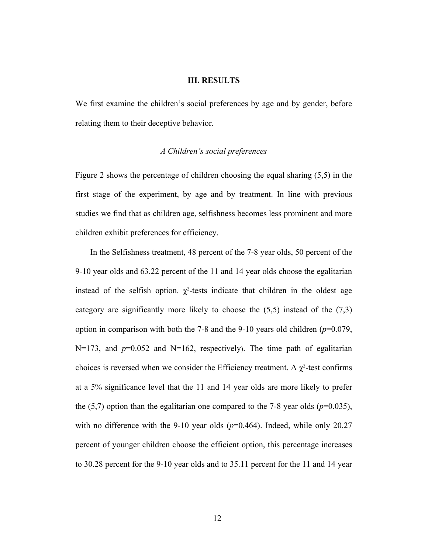#### **III. RESULTS**

We first examine the children's social preferences by age and by gender, before relating them to their deceptive behavior.

#### *A Children's social preferences*

Figure 2 shows the percentage of children choosing the equal sharing (5,5) in the first stage of the experiment, by age and by treatment. In line with previous studies we find that as children age, selfishness becomes less prominent and more children exhibit preferences for efficiency.

In the Selfishness treatment, 48 percent of the 7-8 year olds, 50 percent of the 9-10 year olds and 63.22 percent of the 11 and 14 year olds choose the egalitarian instead of the selfish option.  $\chi^2$ -tests indicate that children in the oldest age category are significantly more likely to choose the  $(5,5)$  instead of the  $(7,3)$ option in comparison with both the 7-8 and the 9-10 years old children (*p*=0.079,  $N=173$ , and  $p=0.052$  and  $N=162$ , respectively). The time path of egalitarian choices is reversed when we consider the Efficiency treatment. A  $\chi^2$ -test confirms at a 5% significance level that the 11 and 14 year olds are more likely to prefer the (5,7) option than the egalitarian one compared to the 7-8 year olds ( $p=0.035$ ), with no difference with the 9-10 year olds ( $p=0.464$ ). Indeed, while only 20.27 percent of younger children choose the efficient option, this percentage increases to 30.28 percent for the 9-10 year olds and to 35.11 percent for the 11 and 14 year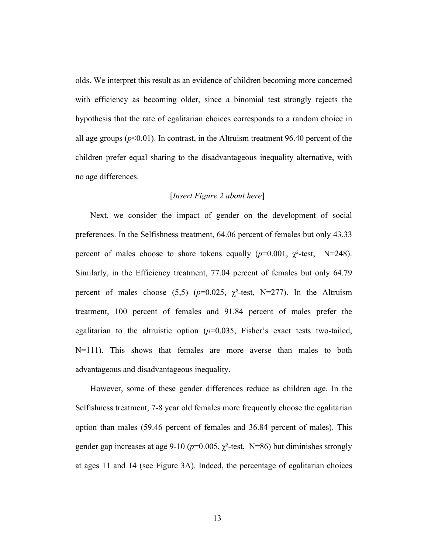olds. We interpret this result as an evidence of children becoming more concerned with efficiency as becoming older, since a binomial test strongly rejects the hypothesis that the rate of egalitarian choices corresponds to a random choice in all age groups  $(p<0.01)$ . In contrast, in the Altruism treatment 96.40 percent of the children prefer equal sharing to the disadvantageous inequality alternative, with no age differences.

#### [*Insert Figure 2 about here*]

Next, we consider the impact of gender on the development of social preferences. In the Selfishness treatment, 64.06 percent of females but only 43.33 percent of males choose to share tokens equally  $(p=0.001, \gamma^2$ -test, N=248). Similarly, in the Efficiency treatment, 77.04 percent of females but only 64.79 percent of males choose (5,5) ( $p=0.025$ ,  $\gamma^2$ -test, N=277). In the Altruism treatment, 100 percent of females and 91.84 percent of males prefer the egalitarian to the altruistic option (*p*=0.035, Fisher's exact tests two-tailed, N=111). This shows that females are more averse than males to both advantageous and disadvantageous inequality.

However, some of these gender differences reduce as children age. In the Selfishness treatment, 7-8 year old females more frequently choose the egalitarian option than males (59.46 percent of females and 36.84 percent of males). This gender gap increases at age 9-10 ( $p=0.005$ ,  $\chi^2$ -test, N=86) but diminishes strongly at ages 11 and 14 (see Figure 3A). Indeed, the percentage of egalitarian choices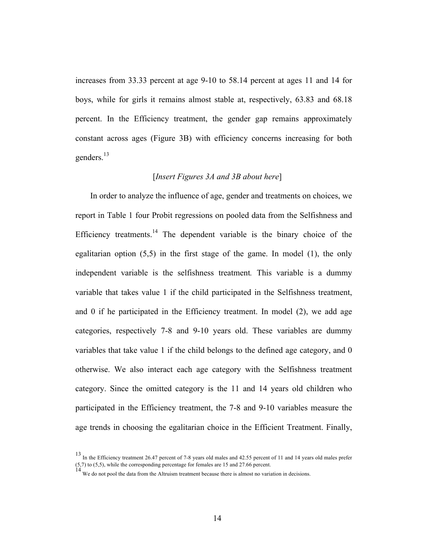increases from 33.33 percent at age 9-10 to 58.14 percent at ages 11 and 14 for boys, while for girls it remains almost stable at, respectively, 63.83 and 68.18 percent. In the Efficiency treatment, the gender gap remains approximately constant across ages (Figure 3B) with efficiency concerns increasing for both genders.<sup>13</sup>

#### [*Insert Figures 3A and 3B about here*]

In order to analyze the influence of age, gender and treatments on choices, we report in Table 1 four Probit regressions on pooled data from the Selfishness and Efficiency treatments.<sup>14</sup> The dependent variable is the binary choice of the egalitarian option  $(5,5)$  in the first stage of the game. In model  $(1)$ , the only independent variable is the selfishness treatment*.* This variable is a dummy variable that takes value 1 if the child participated in the Selfishness treatment, and 0 if he participated in the Efficiency treatment. In model (2), we add age categories, respectively 7-8 and 9-10 years old. These variables are dummy variables that take value 1 if the child belongs to the defined age category, and 0 otherwise. We also interact each age category with the Selfishness treatment category. Since the omitted category is the 11 and 14 years old children who participated in the Efficiency treatment, the 7-8 and 9-10 variables measure the age trends in choosing the egalitarian choice in the Efficient Treatment. Finally,

<sup>&</sup>lt;sup>13</sup> In the Efficiency treatment 26.47 percent of 7-8 years old males and 42.55 percent of 11 and 14 years old males prefer  $(5,7)$  to  $(5,5)$ , while the corresponding percentage for females are 15 and 27.66 percent.<br><sup>14</sup> We do not pool the data from the Altruism treatment because there is almost no variation in decisions.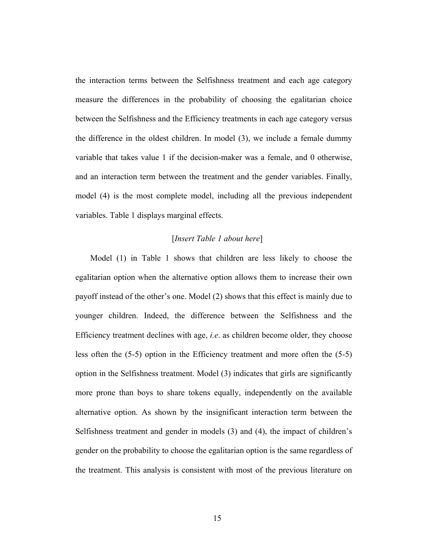the interaction terms between the Selfishness treatment and each age category measure the differences in the probability of choosing the egalitarian choice between the Selfishness and the Efficiency treatments in each age category versus the difference in the oldest children. In model (3), we include a female dummy variable that takes value 1 if the decision-maker was a female, and 0 otherwise, and an interaction term between the treatment and the gender variables. Finally, model (4) is the most complete model, including all the previous independent variables. Table 1 displays marginal effects.

#### [*Insert Table 1 about here*]

Model (1) in Table 1 shows that children are less likely to choose the egalitarian option when the alternative option allows them to increase their own payoff instead of the other's one. Model (2) shows that this effect is mainly due to younger children. Indeed, the difference between the Selfishness and the Efficiency treatment declines with age, *i.e*. as children become older, they choose less often the (5-5) option in the Efficiency treatment and more often the (5-5) option in the Selfishness treatment. Model (3) indicates that girls are significantly more prone than boys to share tokens equally, independently on the available alternative option. As shown by the insignificant interaction term between the Selfishness treatment and gender in models (3) and (4), the impact of children's gender on the probability to choose the egalitarian option is the same regardless of the treatment. This analysis is consistent with most of the previous literature on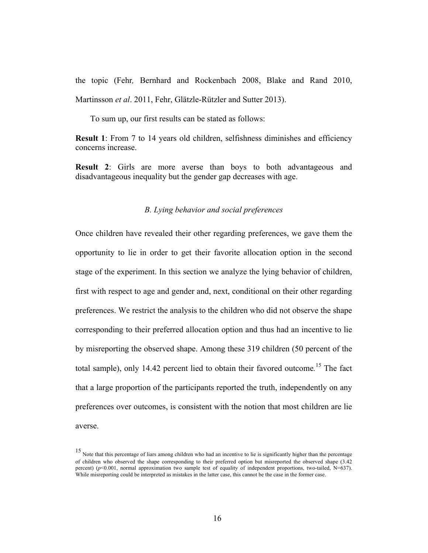the topic (Fehr*,* Bernhard and Rockenbach 2008, Blake and Rand 2010, Martinsson *et al*. 2011, Fehr, Glätzle-Rützler and Sutter 2013).

To sum up, our first results can be stated as follows:

**Result 1**: From 7 to 14 years old children, selfishness diminishes and efficiency concerns increase.

**Result 2**: Girls are more averse than boys to both advantageous and disadvantageous inequality but the gender gap decreases with age.

#### *B. Lying behavior and social preferences*

Once children have revealed their other regarding preferences, we gave them the opportunity to lie in order to get their favorite allocation option in the second stage of the experiment. In this section we analyze the lying behavior of children, first with respect to age and gender and, next, conditional on their other regarding preferences. We restrict the analysis to the children who did not observe the shape corresponding to their preferred allocation option and thus had an incentive to lie by misreporting the observed shape. Among these 319 children (50 percent of the total sample), only 14.42 percent lied to obtain their favored outcome*.* <sup>15</sup> The fact that a large proportion of the participants reported the truth, independently on any preferences over outcomes, is consistent with the notion that most children are lie averse.

<sup>&</sup>lt;sup>15</sup> Note that this percentage of liars among children who had an incentive to lie is significantly higher than the percentage of children who observed the shape corresponding to their preferred option but misreported the observed shape (3.42 percent) ( $p$ <0.001, normal approximation two sample test of equality of independent proportions, two-tailed,  $N=637$ ). While misreporting could be interpreted as mistakes in the latter case, this cannot be the case in the former case.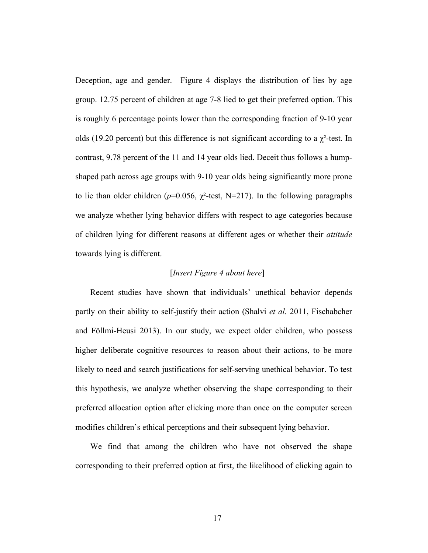Deception, age and gender.—Figure 4 displays the distribution of lies by age group. 12.75 percent of children at age 7-8 lied to get their preferred option. This is roughly 6 percentage points lower than the corresponding fraction of 9-10 year olds (19.20 percent) but this difference is not significant according to a  $\chi^2$ -test. In contrast, 9.78 percent of the 11 and 14 year olds lied. Deceit thus follows a humpshaped path across age groups with 9-10 year olds being significantly more prone to lie than older children ( $p=0.056$ ,  $\chi^2$ -test, N=217). In the following paragraphs we analyze whether lying behavior differs with respect to age categories because of children lying for different reasons at different ages or whether their *attitude* towards lying is different.

#### [*Insert Figure 4 about here*]

Recent studies have shown that individuals' unethical behavior depends partly on their ability to self-justify their action (Shalvi *et al.* 2011, Fischabcher and Föllmi-Heusi 2013). In our study, we expect older children, who possess higher deliberate cognitive resources to reason about their actions, to be more likely to need and search justifications for self-serving unethical behavior. To test this hypothesis, we analyze whether observing the shape corresponding to their preferred allocation option after clicking more than once on the computer screen modifies children's ethical perceptions and their subsequent lying behavior.

We find that among the children who have not observed the shape corresponding to their preferred option at first, the likelihood of clicking again to

17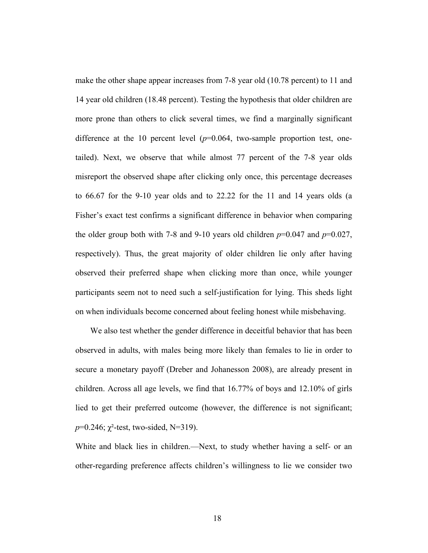make the other shape appear increases from 7-8 year old (10.78 percent) to 11 and 14 year old children (18.48 percent). Testing the hypothesis that older children are more prone than others to click several times, we find a marginally significant difference at the 10 percent level  $(p=0.064,$  two-sample proportion test, onetailed). Next, we observe that while almost 77 percent of the 7-8 year olds misreport the observed shape after clicking only once, this percentage decreases to 66.67 for the 9-10 year olds and to 22.22 for the 11 and 14 years olds (a Fisher's exact test confirms a significant difference in behavior when comparing the older group both with 7-8 and 9-10 years old children  $p=0.047$  and  $p=0.027$ , respectively). Thus, the great majority of older children lie only after having observed their preferred shape when clicking more than once, while younger participants seem not to need such a self-justification for lying. This sheds light on when individuals become concerned about feeling honest while misbehaving.

We also test whether the gender difference in deceitful behavior that has been observed in adults, with males being more likely than females to lie in order to secure a monetary payoff (Dreber and Johanesson 2008), are already present in children. Across all age levels, we find that 16.77% of boys and 12.10% of girls lied to get their preferred outcome (however, the difference is not significant;  $p=0.246$ ;  $\chi^2$ -test, two-sided, N=319).

White and black lies in children.—Next, to study whether having a self- or an other-regarding preference affects children's willingness to lie we consider two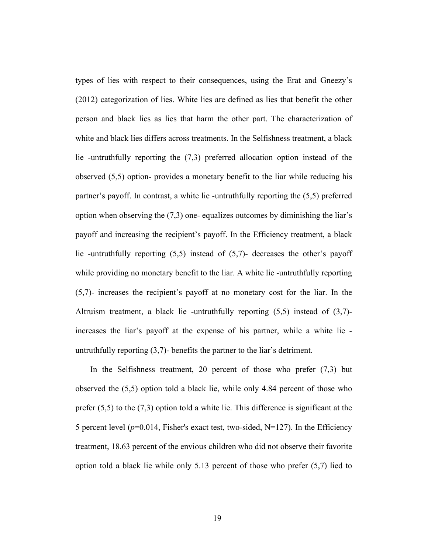types of lies with respect to their consequences, using the Erat and Gneezy's (2012) categorization of lies. White lies are defined as lies that benefit the other person and black lies as lies that harm the other part. The characterization of white and black lies differs across treatments. In the Selfishness treatment, a black lie -untruthfully reporting the (7,3) preferred allocation option instead of the observed (5,5) option- provides a monetary benefit to the liar while reducing his partner's payoff. In contrast, a white lie -untruthfully reporting the (5,5) preferred option when observing the (7,3) one- equalizes outcomes by diminishing the liar's payoff and increasing the recipient's payoff. In the Efficiency treatment, a black lie -untruthfully reporting (5,5) instead of (5,7)- decreases the other's payoff while providing no monetary benefit to the liar. A white lie-untruthfully reporting (5,7)- increases the recipient's payoff at no monetary cost for the liar. In the Altruism treatment, a black lie -untruthfully reporting (5,5) instead of (3,7) increases the liar's payoff at the expense of his partner, while a white lie untruthfully reporting (3,7)- benefits the partner to the liar's detriment.

In the Selfishness treatment, 20 percent of those who prefer (7,3) but observed the (5,5) option told a black lie, while only 4.84 percent of those who prefer  $(5,5)$  to the  $(7,3)$  option told a white lie. This difference is significant at the 5 percent level  $(p=0.014$ , Fisher's exact test, two-sided,  $N=127$ ). In the Efficiency treatment, 18.63 percent of the envious children who did not observe their favorite option told a black lie while only 5.13 percent of those who prefer  $(5,7)$  lied to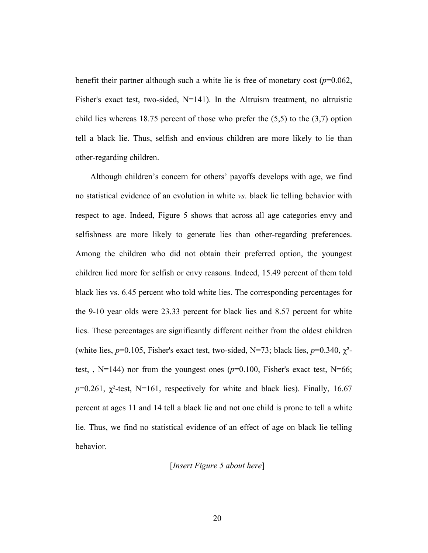benefit their partner although such a white lie is free of monetary cost  $(p=0.062,$ Fisher's exact test, two-sided, N=141). In the Altruism treatment, no altruistic child lies whereas 18.75 percent of those who prefer the (5,5) to the (3,7) option tell a black lie. Thus, selfish and envious children are more likely to lie than other-regarding children.

Although children's concern for others' payoffs develops with age, we find no statistical evidence of an evolution in white *vs*. black lie telling behavior with respect to age. Indeed, Figure 5 shows that across all age categories envy and selfishness are more likely to generate lies than other-regarding preferences. Among the children who did not obtain their preferred option, the youngest children lied more for selfish or envy reasons. Indeed, 15.49 percent of them told black lies vs. 6.45 percent who told white lies. The corresponding percentages for the 9-10 year olds were 23.33 percent for black lies and 8.57 percent for white lies. These percentages are significantly different neither from the oldest children (white lies,  $p=0.105$ , Fisher's exact test, two-sided, N=73; black lies,  $p=0.340$ ,  $\gamma^2$ test,  $N=144$ ) nor from the youngest ones ( $p=0.100$ , Fisher's exact test,  $N=66$ ;  $p=0.261$ ,  $\chi^2$ -test, N=161, respectively for white and black lies). Finally, 16.67 percent at ages 11 and 14 tell a black lie and not one child is prone to tell a white lie. Thus, we find no statistical evidence of an effect of age on black lie telling behavior.

#### [*Insert Figure 5 about here*]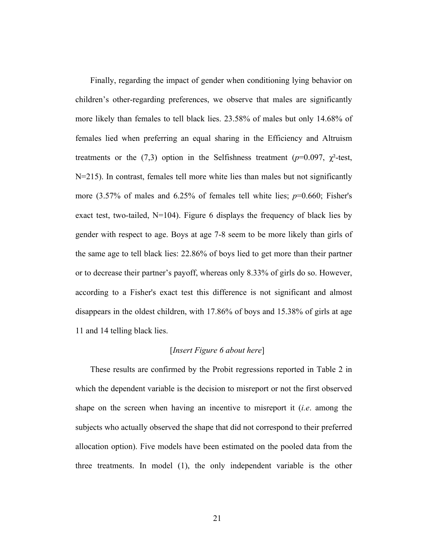Finally, regarding the impact of gender when conditioning lying behavior on children's other-regarding preferences, we observe that males are significantly more likely than females to tell black lies. 23.58% of males but only 14.68% of females lied when preferring an equal sharing in the Efficiency and Altruism treatments or the (7,3) option in the Selfishness treatment ( $p=0.097$ ,  $\gamma^2$ -test, N=215). In contrast, females tell more white lies than males but not significantly more (3.57% of males and 6.25% of females tell white lies; *p*=0.660; Fisher's exact test, two-tailed,  $N=104$ ). Figure 6 displays the frequency of black lies by gender with respect to age. Boys at age 7-8 seem to be more likely than girls of the same age to tell black lies: 22.86% of boys lied to get more than their partner or to decrease their partner's payoff, whereas only 8.33% of girls do so. However, according to a Fisher's exact test this difference is not significant and almost disappears in the oldest children, with 17.86% of boys and 15.38% of girls at age 11 and 14 telling black lies.

#### [*Insert Figure 6 about here*]

These results are confirmed by the Probit regressions reported in Table 2 in which the dependent variable is the decision to misreport or not the first observed shape on the screen when having an incentive to misreport it (*i.e*. among the subjects who actually observed the shape that did not correspond to their preferred allocation option). Five models have been estimated on the pooled data from the three treatments. In model (1), the only independent variable is the other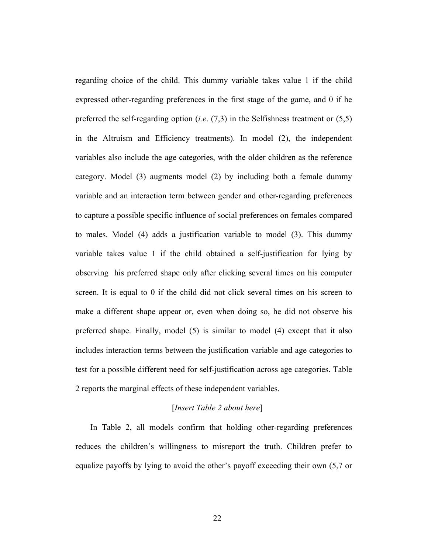regarding choice of the child. This dummy variable takes value 1 if the child expressed other-regarding preferences in the first stage of the game, and 0 if he preferred the self-regarding option (*i.e*. (7,3) in the Selfishness treatment or (5,5) in the Altruism and Efficiency treatments). In model (2), the independent variables also include the age categories, with the older children as the reference category. Model (3) augments model (2) by including both a female dummy variable and an interaction term between gender and other-regarding preferences to capture a possible specific influence of social preferences on females compared to males. Model (4) adds a justification variable to model (3). This dummy variable takes value 1 if the child obtained a self-justification for lying by observing his preferred shape only after clicking several times on his computer screen. It is equal to 0 if the child did not click several times on his screen to make a different shape appear or, even when doing so, he did not observe his preferred shape. Finally, model (5) is similar to model (4) except that it also includes interaction terms between the justification variable and age categories to test for a possible different need for self-justification across age categories. Table 2 reports the marginal effects of these independent variables.

#### [*Insert Table 2 about here*]

In Table 2, all models confirm that holding other-regarding preferences reduces the children's willingness to misreport the truth. Children prefer to equalize payoffs by lying to avoid the other's payoff exceeding their own (5,7 or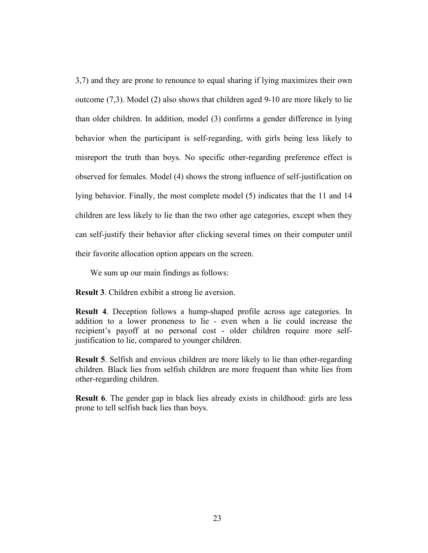3,7) and they are prone to renounce to equal sharing if lying maximizes their own outcome (7,3). Model (2) also shows that children aged 9-10 are more likely to lie than older children. In addition, model (3) confirms a gender difference in lying behavior when the participant is self-regarding, with girls being less likely to misreport the truth than boys. No specific other-regarding preference effect is observed for females. Model (4) shows the strong influence of self-justification on lying behavior. Finally, the most complete model (5) indicates that the 11 and 14 children are less likely to lie than the two other age categories, except when they can self-justify their behavior after clicking several times on their computer until their favorite allocation option appears on the screen.

We sum up our main findings as follows:

**Result 3**. Children exhibit a strong lie aversion.

**Result 4**. Deception follows a hump-shaped profile across age categories. In addition to a lower proneness to lie - even when a lie could increase the recipient's payoff at no personal cost - older children require more selfjustification to lie, compared to younger children.

**Result 5**. Selfish and envious children are more likely to lie than other-regarding children. Black lies from selfish children are more frequent than white lies from other-regarding children.

**Result 6**. The gender gap in black lies already exists in childhood: girls are less prone to tell selfish back lies than boys.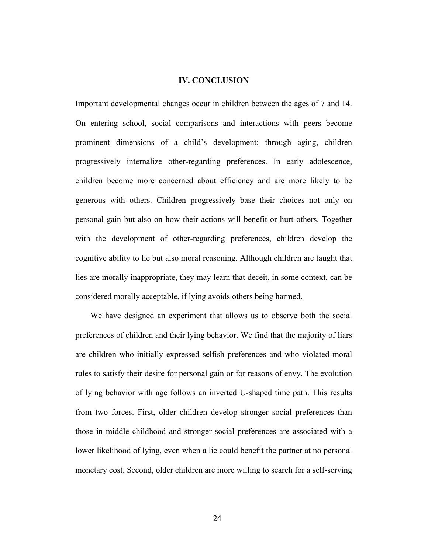#### **IV. CONCLUSION**

Important developmental changes occur in children between the ages of 7 and 14. On entering school, social comparisons and interactions with peers become prominent dimensions of a child's development: through aging, children progressively internalize other-regarding preferences. In early adolescence, children become more concerned about efficiency and are more likely to be generous with others. Children progressively base their choices not only on personal gain but also on how their actions will benefit or hurt others. Together with the development of other-regarding preferences, children develop the cognitive ability to lie but also moral reasoning. Although children are taught that lies are morally inappropriate, they may learn that deceit, in some context, can be considered morally acceptable, if lying avoids others being harmed.

We have designed an experiment that allows us to observe both the social preferences of children and their lying behavior. We find that the majority of liars are children who initially expressed selfish preferences and who violated moral rules to satisfy their desire for personal gain or for reasons of envy. The evolution of lying behavior with age follows an inverted U-shaped time path. This results from two forces. First, older children develop stronger social preferences than those in middle childhood and stronger social preferences are associated with a lower likelihood of lying, even when a lie could benefit the partner at no personal monetary cost. Second, older children are more willing to search for a self-serving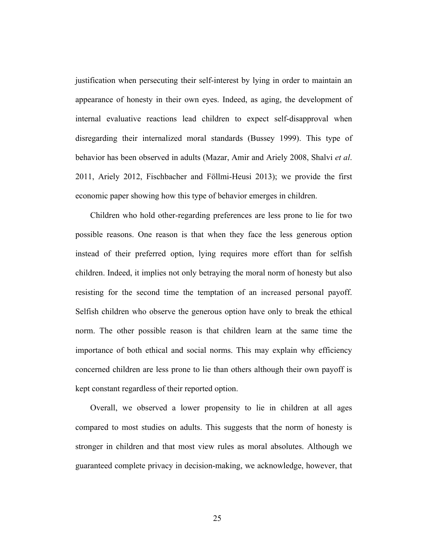justification when persecuting their self-interest by lying in order to maintain an appearance of honesty in their own eyes. Indeed, as aging, the development of internal evaluative reactions lead children to expect self-disapproval when disregarding their internalized moral standards (Bussey 1999). This type of behavior has been observed in adults (Mazar, Amir and Ariely 2008, Shalvi *et al*. 2011, Ariely 2012, Fischbacher and Föllmi-Heusi 2013); we provide the first economic paper showing how this type of behavior emerges in children.

Children who hold other-regarding preferences are less prone to lie for two possible reasons. One reason is that when they face the less generous option instead of their preferred option, lying requires more effort than for selfish children. Indeed, it implies not only betraying the moral norm of honesty but also resisting for the second time the temptation of an increased personal payoff. Selfish children who observe the generous option have only to break the ethical norm. The other possible reason is that children learn at the same time the importance of both ethical and social norms. This may explain why efficiency concerned children are less prone to lie than others although their own payoff is kept constant regardless of their reported option.

Overall, we observed a lower propensity to lie in children at all ages compared to most studies on adults. This suggests that the norm of honesty is stronger in children and that most view rules as moral absolutes. Although we guaranteed complete privacy in decision-making, we acknowledge, however, that

25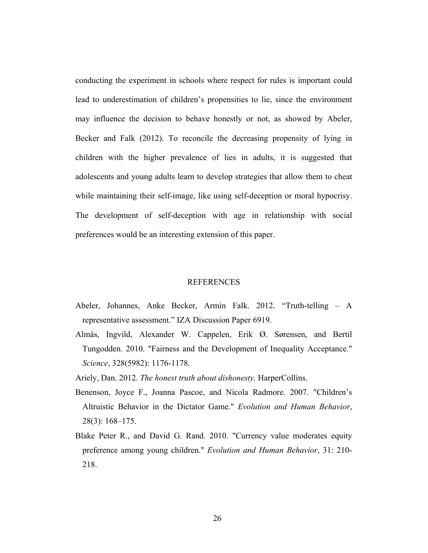conducting the experiment in schools where respect for rules is important could lead to underestimation of children's propensities to lie, since the environment may influence the decision to behave honestly or not, as showed by Abeler, Becker and Falk (2012). To reconcile the decreasing propensity of lying in children with the higher prevalence of lies in adults, it is suggested that adolescents and young adults learn to develop strategies that allow them to cheat while maintaining their self-image, like using self-deception or moral hypocrisy. The development of self-deception with age in relationship with social preferences would be an interesting extension of this paper.

#### **REFERENCES**

- Abeler, Johannes, Anke Becker, Armin Falk. 2012. "Truth-telling A representative assessment." IZA Discussion Paper 6919.
- Almås, Ingvild, Alexander W. Cappelen, Erik Ø. Sørensen, and Bertil Tungodden. 2010. "Fairness and the Development of Inequality Acceptance." *Science*, 328(5982): 1176-1178.
- Ariely, Dan. 2012. *The honest truth about dishonesty.* HarperCollins.
- Benenson, Joyce F., Joanna Pascoe, and Nicola Radmore. 2007. "Children's Altruistic Behavior in the Dictator Game." *Evolution and Human Behavior*, 28(3): 168–175.
- Blake Peter R., and David G. Rand. 2010. "Currency value moderates equity preference among young children." *Evolution and Human Behavior*, 31: 210- 218.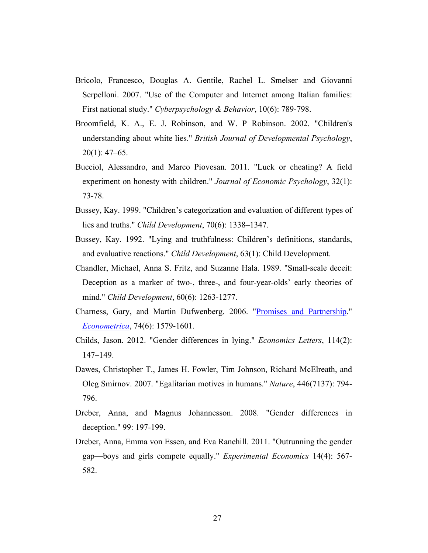- Bricolo, Francesco, Douglas A. Gentile, Rachel L. Smelser and Giovanni Serpelloni. 2007. "Use of the Computer and Internet among Italian families: First national study." *Cyberpsychology & Behavior*, 10(6): 789-798.
- Broomfield, K. A., E. J. Robinson, and W. P Robinson. 2002. "Children's understanding about white lies." *British Journal of Developmental Psychology*,  $20(1)$ : 47–65.
- Bucciol, Alessandro, and Marco Piovesan. 2011. "Luck or cheating? A field experiment on honesty with children." *Journal of Economic Psychology*, 32(1): 73-78.
- Bussey, Kay. 1999. "Children's categorization and evaluation of different types of lies and truths." *Child Development*, 70(6): 1338–1347.
- Bussey, Kay. 1992. "Lying and truthfulness: Children's definitions, standards, and evaluative reactions." *Child Development*, 63(1): Child Development.
- Chandler, Michael, Anna S. Fritz, and Suzanne Hala. 1989. "Small-scale deceit: Deception as a marker of two-, three-, and four-year-olds' early theories of mind." *Child Development*, 60(6): 1263-1277.
- Charness, Gary, and Martin Dufwenberg. 2006. "Promises and Partnership." *Econometrica*, 74(6): 1579-1601.
- Childs, Jason. 2012. "Gender differences in lying." *Economics Letters*, 114(2): 147–149.
- Dawes, Christopher T., James H. Fowler, Tim Johnson, Richard McElreath, and Oleg Smirnov. 2007. "Egalitarian motives in humans." *Nature*, 446(7137): 794- 796.
- Dreber, Anna, and Magnus Johannesson. 2008. "Gender differences in deception." 99: 197-199.
- Dreber, Anna, Emma von Essen, and Eva Ranehill. 2011. "Outrunning the gender gap—boys and girls compete equally." *Experimental Economics* 14(4): 567- 582.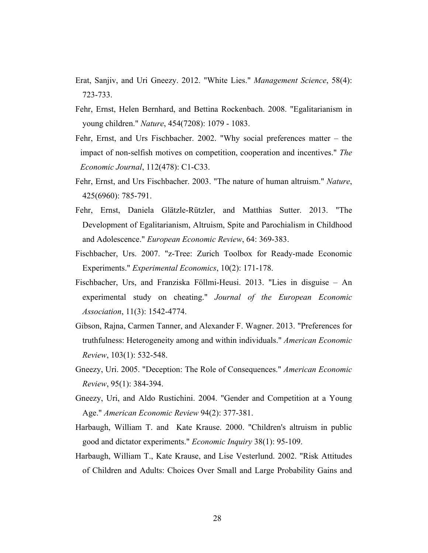- Erat, Sanjiv, and Uri Gneezy. 2012. "White Lies." *Management Science*, 58(4): 723-733.
- Fehr, Ernst, Helen Bernhard, and Bettina Rockenbach. 2008. "Egalitarianism in young children." *Nature*, 454(7208): 1079 - 1083.
- Fehr, Ernst, and Urs Fischbacher. 2002. "Why social preferences matter the impact of non-selfish motives on competition, cooperation and incentives." *The Economic Journal*, 112(478): C1-C33.
- Fehr, Ernst, and Urs Fischbacher. 2003. "The nature of human altruism." *Nature*, 425(6960): 785-791.
- Fehr, Ernst, Daniela Glätzle-Rützler, and Matthias Sutter. 2013. "The Development of Egalitarianism, Altruism, Spite and Parochialism in Childhood and Adolescence." *European Economic Review*, 64: 369-383.
- Fischbacher, Urs. 2007. "z-Tree: Zurich Toolbox for Ready-made Economic Experiments." *Experimental Economics*, 10(2): 171-178.
- Fischbacher, Urs, and Franziska Föllmi-Heusi. 2013. "Lies in disguise An experimental study on cheating." *Journal of the European Economic Association*, 11(3): 1542-4774.
- Gibson, Rajna, Carmen Tanner, and Alexander F. Wagner. 2013. "Preferences for truthfulness: Heterogeneity among and within individuals." *American Economic Review*, 103(1): 532-548.
- Gneezy, Uri. 2005. "Deception: The Role of Consequences." *American Economic Review*, 95(1): 384-394.
- Gneezy, Uri, and Aldo Rustichini. 2004. "Gender and Competition at a Young Age." *American Economic Review* 94(2): 377-381.
- Harbaugh, William T. and Kate Krause. 2000. "Children's altruism in public good and dictator experiments." *Economic Inquiry* 38(1): 95-109.
- Harbaugh, William T., Kate Krause, and Lise Vesterlund. 2002. "Risk Attitudes of Children and Adults: Choices Over Small and Large Probability Gains and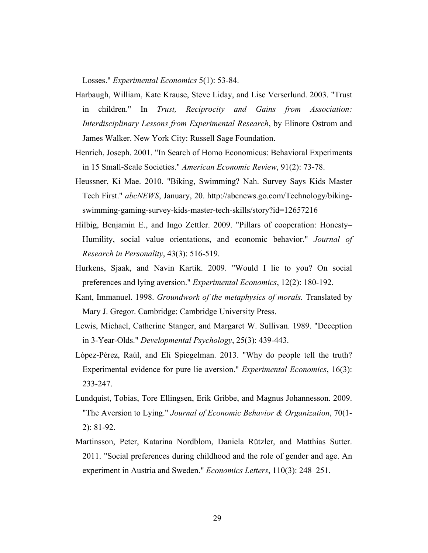Losses." *Experimental Economics* 5(1): 53-84.

- Harbaugh, William, Kate Krause, Steve Liday, and Lise Verserlund. 2003. "Trust in children." In *Trust, Reciprocity and Gains from Association: Interdisciplinary Lessons from Experimental Research*, by Elinore Ostrom and James Walker. New York City: Russell Sage Foundation.
- Henrich, Joseph. 2001. "In Search of Homo Economicus: Behavioral Experiments in 15 Small-Scale Societies." *American Economic Review*, 91(2): 73-78.
- Heussner, Ki Mae. 2010. "Biking, Swimming? Nah. Survey Says Kids Master Tech First." *abcNEWS*, January, 20. http://abcnews.go.com/Technology/bikingswimming-gaming-survey-kids-master-tech-skills/story?id=12657216
- Hilbig, Benjamin E., and Ingo Zettler. 2009. "Pillars of cooperation: Honesty– Humility, social value orientations, and economic behavior." *Journal of Research in Personality*, 43(3): 516-519.
- Hurkens, Sjaak, and Navin Kartik. 2009. "Would I lie to you? On social preferences and lying aversion." *Experimental Economics*, 12(2): 180-192.
- Kant, Immanuel. 1998. *Groundwork of the metaphysics of morals.* Translated by Mary J. Gregor. Cambridge: Cambridge University Press.
- Lewis, Michael, Catherine Stanger, and Margaret W. Sullivan. 1989. "Deception in 3-Year-Olds." *Developmental Psychology*, 25(3): 439-443.
- López-Pérez, Raúl, and Eli Spiegelman. 2013. "Why do people tell the truth? Experimental evidence for pure lie aversion." *Experimental Economics*, 16(3): 233-247.
- Lundquist, Tobias, Tore Ellingsen, Erik Gribbe, and Magnus Johannesson. 2009. "The Aversion to Lying." *Journal of Economic Behavior & Organization*, 70(1- 2): 81-92.
- Martinsson, Peter, Katarina Nordblom, Daniela Rützler, and Matthias Sutter. 2011. "Social preferences during childhood and the role of gender and age. An experiment in Austria and Sweden." *Economics Letters*, 110(3): 248–251.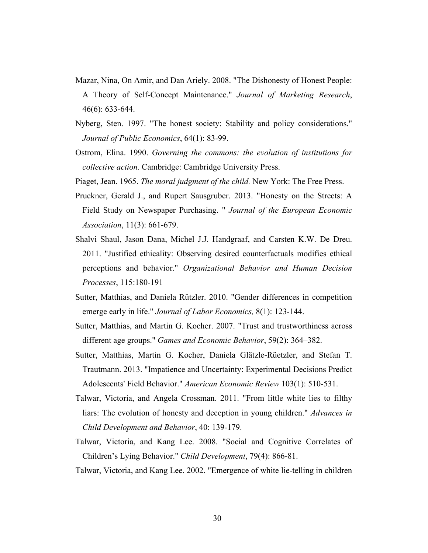- Mazar, Nina, On Amir, and Dan Ariely. 2008. "The Dishonesty of Honest People: A Theory of Self-Concept Maintenance." *Journal of Marketing Research*, 46(6): 633-644.
- Nyberg, Sten. 1997. "The honest society: Stability and policy considerations." *Journal of Public Economics*, 64(1): 83-99.
- Ostrom, Elina. 1990. *Governing the commons: the evolution of institutions for collective action.* Cambridge: Cambridge University Press.
- Piaget, Jean. 1965. *The moral judgment of the child.* New York: The Free Press.
- Pruckner, Gerald J., and Rupert Sausgruber. 2013. "Honesty on the Streets: A Field Study on Newspaper Purchasing. " *Journal of the European Economic Association*, 11(3): 661-679.
- Shalvi Shaul, Jason Dana, Michel J.J. Handgraaf, and Carsten K.W. De Dreu. 2011. "Justified ethicality: Observing desired counterfactuals modifies ethical perceptions and behavior." *Organizational Behavior and Human Decision Processes*, 115:180-191
- Sutter, Matthias, and Daniela Rützler. 2010. "Gender differences in competition emerge early in life." *Journal of Labor Economics,* 8(1): 123-144.
- Sutter, Matthias, and Martin G. Kocher. 2007. "Trust and trustworthiness across different age groups." *Games and Economic Behavior*, 59(2): 364–382.
- Sutter, Matthias, Martin G. Kocher, Daniela Glätzle-Rüetzler, and Stefan T. Trautmann. 2013. "Impatience and Uncertainty: Experimental Decisions Predict Adolescents' Field Behavior." *American Economic Review* 103(1): 510-531.
- Talwar, Victoria, and Angela Crossman. 2011. "From little white lies to filthy liars: The evolution of honesty and deception in young children." *Advances in Child Development and Behavior*, 40: 139-179.
- Talwar, Victoria, and Kang Lee. 2008. "Social and Cognitive Correlates of Children's Lying Behavior." *Child Development*, 79(4): 866-81.

Talwar, Victoria, and Kang Lee. 2002. "Emergence of white lie-telling in children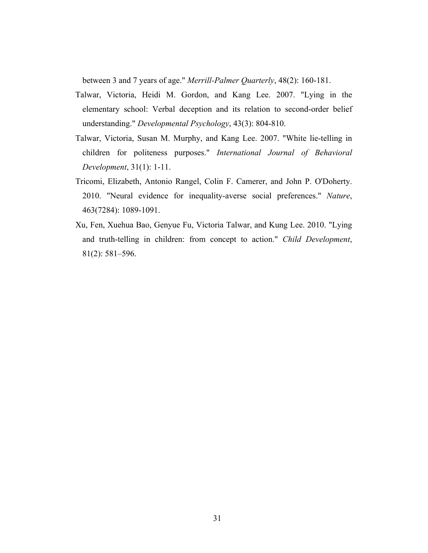between 3 and 7 years of age." *Merrill-Palmer Quarterly*, 48(2): 160-181.

- Talwar, Victoria, Heidi M. Gordon, and Kang Lee. 2007. "Lying in the elementary school: Verbal deception and its relation to second-order belief understanding." *Developmental Psychology*, 43(3): 804-810.
- Talwar, Victoria, Susan M. Murphy, and Kang Lee. 2007. "White lie-telling in children for politeness purposes." *International Journal of Behavioral Development*, 31(1): 1-11.
- Tricomi, Elizabeth, Antonio Rangel, Colin F. Camerer, and John P. O'Doherty. 2010. "Neural evidence for inequality-averse social preferences." *Nature*, 463(7284): 1089-1091.
- Xu, Fen, Xuehua Bao, Genyue Fu, Victoria Talwar, and Kung Lee. 2010. "Lying and truth-telling in children: from concept to action." *Child Development*, 81(2): 581–596.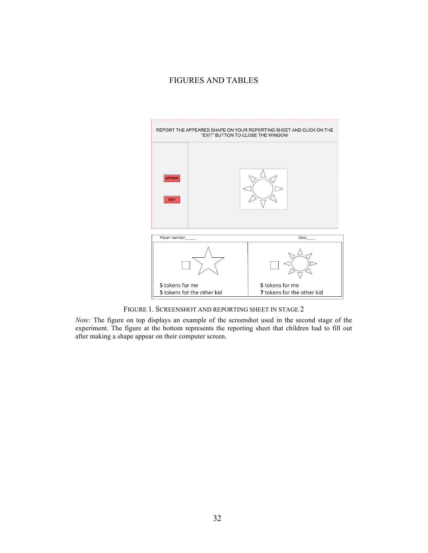#### FIGURES AND TABLES



FIGURE 1. SCREENSHOT AND REPORTING SHEET IN STAGE 2

*Note:* The figure on top displays an example of the screenshot used in the second stage of the experiment. The figure at the bottom represents the reporting sheet that children had to fill out after making a shape appear on their computer screen.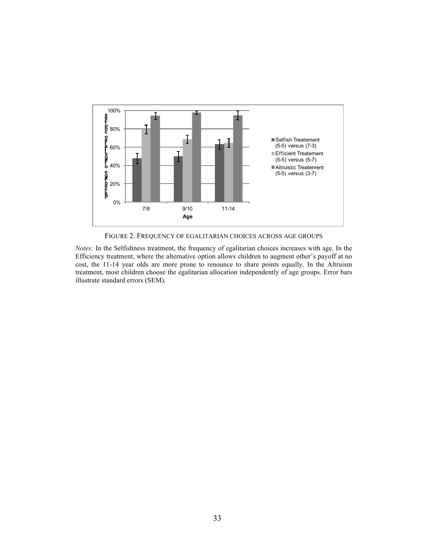

FIGURE 2. FREQUENCY OF EGALITARIAN CHOICES ACROSS AGE GROUPS

*Notes:* In the Selfishness treatment, the frequency of egalitarian choices increases with age. In the Efficiency treatment, where the alternative option allows children to augment other's payoff at no cost, the 11-14 year olds are more prone to renounce to share points equally. In the Altruism treatment, most children choose the egalitarian allocation independently of age groups. Error bars illustrate standard errors (SEM).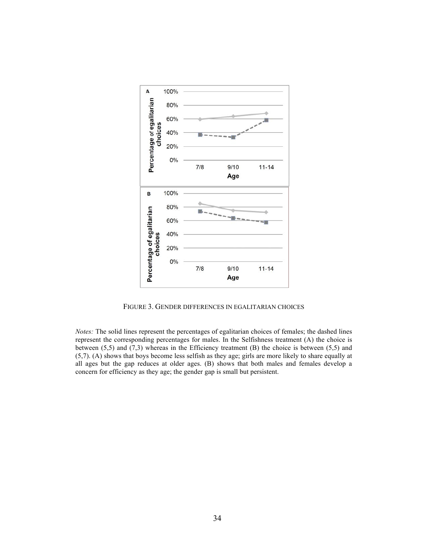

FIGURE 3. GENDER DIFFERENCES IN EGALITARIAN CHOICES

*Notes:* The solid lines represent the percentages of egalitarian choices of females; the dashed lines represent the corresponding percentages for males. In the Selfishness treatment (A) the choice is between  $(5,5)$  and  $(7,3)$  whereas in the Efficiency treatment  $(B)$  the choice is between  $(5,5)$  and (5,7). (A) shows that boys become less selfish as they age; girls are more likely to share equally at all ages but the gap reduces at older ages. (B) shows that both males and females develop a concern for efficiency as they age; the gender gap is small but persistent.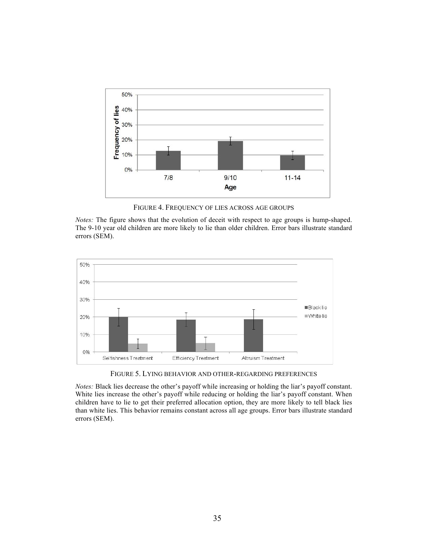

FIGURE 4. FREQUENCY OF LIES ACROSS AGE GROUPS

*Notes:* The figure shows that the evolution of deceit with respect to age groups is hump-shaped. The 9-10 year old children are more likely to lie than older children. Error bars illustrate standard errors (SEM).





*Notes:* Black lies decrease the other's payoff while increasing or holding the liar's payoff constant. White lies increase the other's payoff while reducing or holding the liar's payoff constant. When children have to lie to get their preferred allocation option, they are more likely to tell black lies than white lies. This behavior remains constant across all age groups. Error bars illustrate standard errors (SEM).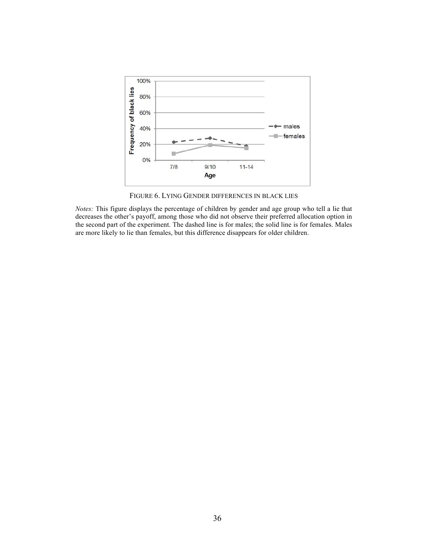

FIGURE 6. LYING GENDER DIFFERENCES IN BLACK LIES

*Notes:* This figure displays the percentage of children by gender and age group who tell a lie that decreases the other's payoff, among those who did not observe their preferred allocation option in the second part of the experiment. The dashed line is for males; the solid line is for females. Males are more likely to lie than females, but this difference disappears for older children.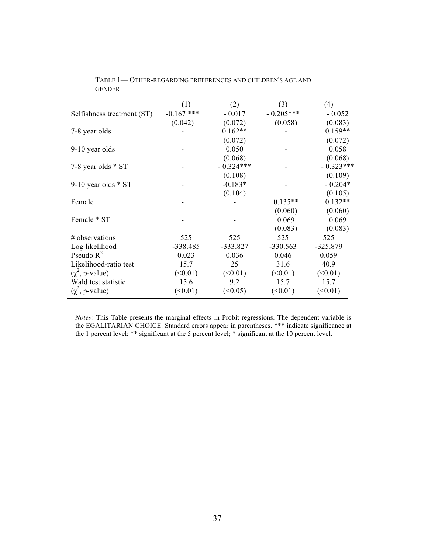|                            | $\left(1\right)$ | (2)         | (3)         | (4)         |
|----------------------------|------------------|-------------|-------------|-------------|
| Selfishness treatment (ST) | $-0.167$ ***     | $-0.017$    | $-0.205***$ | $-0.052$    |
|                            | (0.042)          | (0.072)     | (0.058)     | (0.083)     |
| 7-8 year olds              |                  | $0.162**$   |             | $0.159**$   |
|                            |                  | (0.072)     |             | (0.072)     |
| 9-10 year olds             |                  | 0.050       |             | 0.058       |
|                            |                  | (0.068)     |             | (0.068)     |
| 7-8 year olds * ST         |                  | $-0.324***$ |             | $-0.323***$ |
|                            |                  | (0.108)     |             | (0.109)     |
| 9-10 year olds $*ST$       |                  | $-0.183*$   |             | $-0.204*$   |
|                            |                  | (0.104)     |             | (0.105)     |
| Female                     |                  |             | $0.135**$   | $0.132**$   |
|                            |                  |             | (0.060)     | (0.060)     |
| Female * ST                |                  |             | 0.069       | 0.069       |
|                            |                  |             | (0.083)     | (0.083)     |
| # observations             | 525              | 525         | 525         | 525         |
| Log likelihood             | $-338.485$       | $-333.827$  | $-330.563$  | $-325.879$  |
| Pseudo $R^2$               | 0.023            | 0.036       | 0.046       | 0.059       |
| Likelihood-ratio test      | 15.7             | 25          | 31.6        | 40.9        |
| $(\chi^2, p-value)$        | (<0.01)          | (<0.01)     | (<0.01)     | (<0.01)     |
| Wald test statistic        | 15.6             | 9.2         | 15.7        | 15.7        |
| $(\chi^2, p-value)$        | (<0.01)          | (<0.05)     | (<0.01)     | (<0.01)     |

TABLE 1— OTHER-REGARDING PREFERENCES AND CHILDREN'S AGE AND GENDER

*Notes:* This Table presents the marginal effects in Probit regressions. The dependent variable is the EGALITARIAN CHOICE. Standard errors appear in parentheses. \*\*\* indicate significance at the 1 percent level; \*\* significant at the 5 percent level; \* significant at the 10 percent level.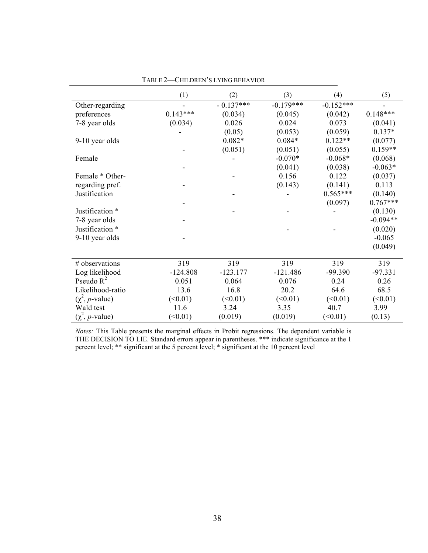|                            | (1)        | (2)         | (3)         | (4)         | (5)        |
|----------------------------|------------|-------------|-------------|-------------|------------|
| Other-regarding            |            | $-0.137***$ | $-0.179***$ | $-0.152***$ |            |
| preferences                | $0.143***$ | (0.034)     | (0.045)     | (0.042)     | $0.148***$ |
| 7-8 year olds              | (0.034)    | 0.026       | 0.024       | 0.073       | (0.041)    |
|                            |            | (0.05)      | (0.053)     | (0.059)     | $0.137*$   |
| 9-10 year olds             |            | $0.082*$    | $0.084*$    | $0.122**$   | (0.077)    |
|                            |            | (0.051)     | (0.051)     | (0.055)     | $0.159**$  |
| Female                     |            |             | $-0.070*$   | $-0.068*$   | (0.068)    |
|                            |            |             | (0.041)     | (0.038)     | $-0.063*$  |
| Female * Other-            |            |             | 0.156       | 0.122       | (0.037)    |
| regarding pref.            |            |             | (0.143)     | (0.141)     | 0.113      |
| Justification              |            |             |             | $0.565***$  | (0.140)    |
|                            |            |             |             | (0.097)     | $0.767***$ |
| Justification *            |            |             |             |             | (0.130)    |
| 7-8 year olds              |            |             |             |             | $-0.094**$ |
| Justification *            |            |             |             |             | (0.020)    |
| 9-10 year olds             |            |             |             |             | $-0.065$   |
|                            |            |             |             |             | (0.049)    |
| # observations             | 319        | 319         | 319         | 319         | 319        |
| Log likelihood             | $-124.808$ | $-123.177$  | $-121.486$  | $-99.390$   | $-97.331$  |
| Pseudo $R^2$               | 0.051      | 0.064       | 0.076       | 0.24        | 0.26       |
| Likelihood-ratio           | 13.6       | 16.8        | 20.2        | 64.6        | 68.5       |
| $(\chi^2, p\text{-value})$ | (<0.01)    | (<0.01)     | (<0.01)     | (<0.01)     | (<0.01)    |
| Wald test                  | 11.6       | 3.24        | 3.35        | 40.7        | 3.99       |
| $(\chi^2, p\text{-value})$ | (<0.01)    | (0.019)     | (0.019)     | (<0.01)     | (0.13)     |

TABLE 2—CHILDREN'S LYING BEHAVIOR

*Notes:* This Table presents the marginal effects in Probit regressions. The dependent variable is THE DECISION TO LIE. Standard errors appear in parentheses. \*\*\* indicate significance at the 1 percent level; \*\* significant at the 5 percent level; \* significant at the 10 percent level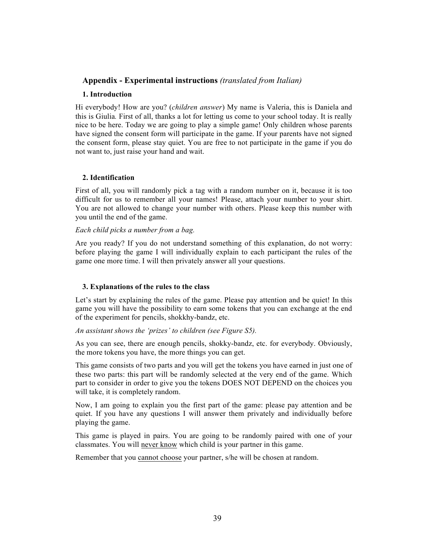#### **Appendix - Experimental instructions** *(translated from Italian)*

#### **1. Introduction**

Hi everybody! How are you? (*children answer*) My name is Valeria, this is Daniela and this is Giulia*.* First of all, thanks a lot for letting us come to your school today. It is really nice to be here. Today we are going to play a simple game! Only children whose parents have signed the consent form will participate in the game. If your parents have not signed the consent form, please stay quiet. You are free to not participate in the game if you do not want to, just raise your hand and wait.

#### **2. Identification**

First of all, you will randomly pick a tag with a random number on it, because it is too difficult for us to remember all your names! Please, attach your number to your shirt. You are not allowed to change your number with others. Please keep this number with you until the end of the game.

#### *Each child picks a number from a bag.*

Are you ready? If you do not understand something of this explanation, do not worry: before playing the game I will individually explain to each participant the rules of the game one more time. I will then privately answer all your questions.

#### **3. Explanations of the rules to the class**

Let's start by explaining the rules of the game. Please pay attention and be quiet! In this game you will have the possibility to earn some tokens that you can exchange at the end of the experiment for pencils, shokkhy-bandz, etc.

#### *An assistant shows the 'prizes' to children (see Figure S5).*

As you can see, there are enough pencils, shokky-bandz, etc. for everybody. Obviously, the more tokens you have, the more things you can get.

This game consists of two parts and you will get the tokens you have earned in just one of these two parts: this part will be randomly selected at the very end of the game. Which part to consider in order to give you the tokens DOES NOT DEPEND on the choices you will take, it is completely random.

Now, I am going to explain you the first part of the game: please pay attention and be quiet. If you have any questions I will answer them privately and individually before playing the game.

This game is played in pairs. You are going to be randomly paired with one of your classmates. You will never know which child is your partner in this game.

Remember that you cannot choose your partner, s/he will be chosen at random.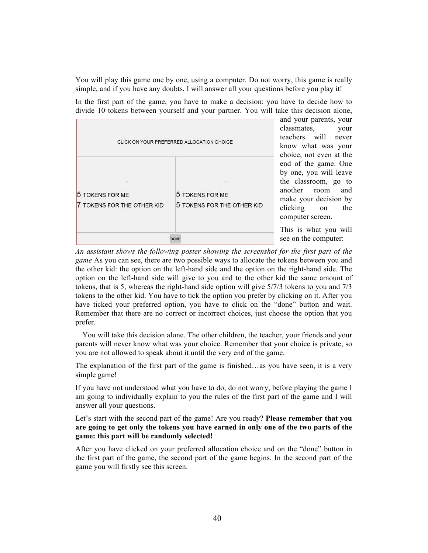You will play this game one by one, using a computer. Do not worry, this game is really simple, and if you have any doubts, I will answer all your questions before you play it!

In the first part of the game, you have to make a decision: you have to decide how to divide 10 tokens between yourself and your partner. You will take this decision alone,



*An assistant shows the following poster showing the screenshot for the first part of the game* As you can see, there are two possible ways to allocate the tokens between you and the other kid: the option on the left-hand side and the option on the right-hand side. The option on the left-hand side will give to you and to the other kid the same amount of tokens, that is 5, whereas the right-hand side option will give 5/7/3 tokens to you and 7/3 tokens to the other kid. You have to tick the option you prefer by clicking on it. After you have ticked your preferred option, you have to click on the "done" button and wait. Remember that there are no correct or incorrect choices, just choose the option that you prefer.

You will take this decision alone. The other children, the teacher, your friends and your parents will never know what was your choice. Remember that your choice is private, so you are not allowed to speak about it until the very end of the game.

The explanation of the first part of the game is finished…as you have seen, it is a very simple game!

If you have not understood what you have to do, do not worry, before playing the game I am going to individually explain to you the rules of the first part of the game and I will answer all your questions.

Let's start with the second part of the game! Are you ready? **Please remember that you are going to get only the tokens you have earned in only one of the two parts of the game: this part will be randomly selected!**

After you have clicked on your preferred allocation choice and on the "done" button in the first part of the game, the second part of the game begins. In the second part of the game you will firstly see this screen.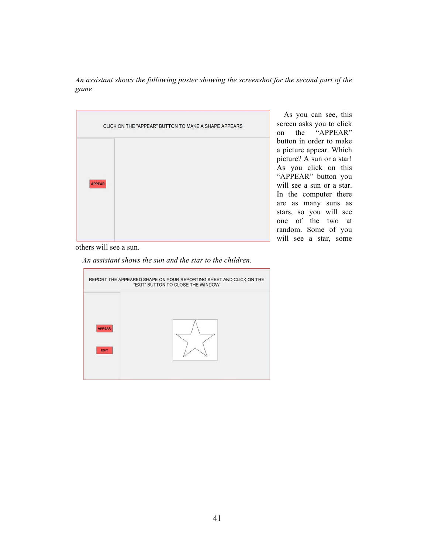*An assistant shows the following poster showing the screenshot for the second part of the game* 



As you can see, this screen asks you to click on the "APPEAR" button in order to make a picture appear. Which picture? A sun or a star! As you click on this "APPEAR" button you will see a sun or a star. In the computer there are as many suns as stars, so you will see one of the two at random. Some of you will see a star, some

others will see a sun.

*An assistant shows the sun and the star to the children.* 

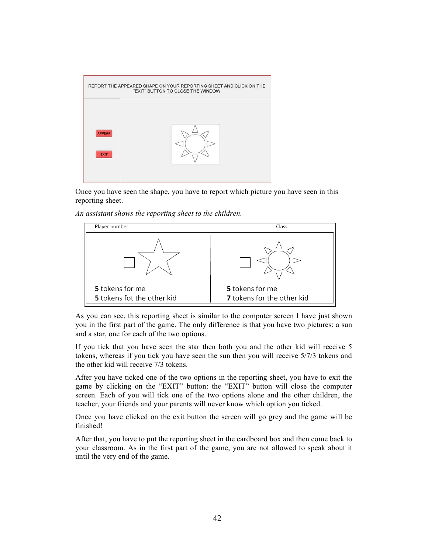

Once you have seen the shape, you have to report which picture you have seen in this reporting sheet.

*An assistant shows the reporting sheet to the children.*



As you can see, this reporting sheet is similar to the computer screen I have just shown you in the first part of the game. The only difference is that you have two pictures: a sun and a star, one for each of the two options.

If you tick that you have seen the star then both you and the other kid will receive 5 tokens, whereas if you tick you have seen the sun then you will receive 5/7/3 tokens and the other kid will receive 7/3 tokens.

After you have ticked one of the two options in the reporting sheet, you have to exit the game by clicking on the "EXIT" button: the "EXIT" button will close the computer screen. Each of you will tick one of the two options alone and the other children, the teacher, your friends and your parents will never know which option you ticked.

Once you have clicked on the exit button the screen will go grey and the game will be finished!

After that, you have to put the reporting sheet in the cardboard box and then come back to your classroom. As in the first part of the game, you are not allowed to speak about it until the very end of the game.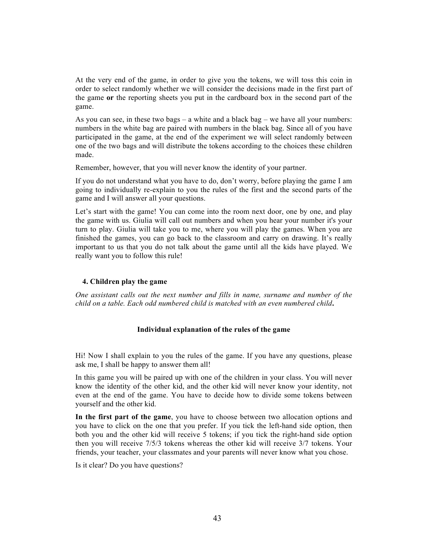At the very end of the game, in order to give you the tokens, we will toss this coin in order to select randomly whether we will consider the decisions made in the first part of the game **or** the reporting sheets you put in the cardboard box in the second part of the game.

As you can see, in these two bags – a white and a black bag – we have all your numbers: numbers in the white bag are paired with numbers in the black bag. Since all of you have participated in the game, at the end of the experiment we will select randomly between one of the two bags and will distribute the tokens according to the choices these children made.

Remember, however, that you will never know the identity of your partner.

If you do not understand what you have to do, don't worry, before playing the game I am going to individually re-explain to you the rules of the first and the second parts of the game and I will answer all your questions.

Let's start with the game! You can come into the room next door, one by one, and play the game with us. Giulia will call out numbers and when you hear your number it's your turn to play. Giulia will take you to me, where you will play the games. When you are finished the games, you can go back to the classroom and carry on drawing. It's really important to us that you do not talk about the game until all the kids have played. We really want you to follow this rule!

#### **4. Children play the game**

*One assistant calls out the next number and fills in name, surname and number of the child on a table. Each odd numbered child is matched with an even numbered child***.**

#### **Individual explanation of the rules of the game**

Hi! Now I shall explain to you the rules of the game. If you have any questions, please ask me, I shall be happy to answer them all!

In this game you will be paired up with one of the children in your class. You will never know the identity of the other kid, and the other kid will never know your identity, not even at the end of the game. You have to decide how to divide some tokens between yourself and the other kid.

**In the first part of the game**, you have to choose between two allocation options and you have to click on the one that you prefer. If you tick the left-hand side option, then both you and the other kid will receive 5 tokens; if you tick the right-hand side option then you will receive 7/5/3 tokens whereas the other kid will receive 3/7 tokens. Your friends, your teacher, your classmates and your parents will never know what you chose.

Is it clear? Do you have questions?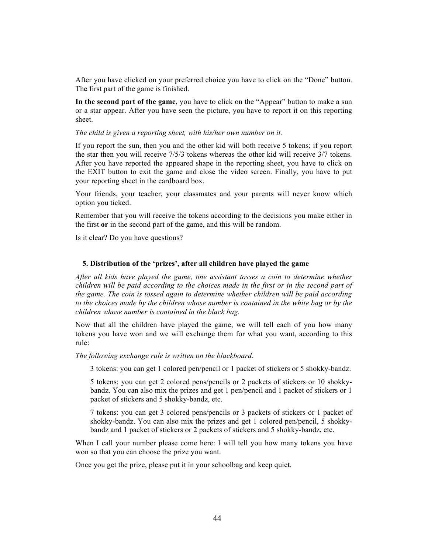After you have clicked on your preferred choice you have to click on the "Done" button. The first part of the game is finished.

**In the second part of the game**, you have to click on the "Appear" button to make a sun or a star appear. After you have seen the picture, you have to report it on this reporting sheet.

*The child is given a reporting sheet, with his/her own number on it.* 

If you report the sun, then you and the other kid will both receive 5 tokens; if you report the star then you will receive 7/5/3 tokens whereas the other kid will receive 3/7 tokens. After you have reported the appeared shape in the reporting sheet, you have to click on the EXIT button to exit the game and close the video screen. Finally, you have to put your reporting sheet in the cardboard box.

Your friends, your teacher, your classmates and your parents will never know which option you ticked.

Remember that you will receive the tokens according to the decisions you make either in the first **or** in the second part of the game, and this will be random.

Is it clear? Do you have questions?

#### **5. Distribution of the 'prizes', after all children have played the game**

*After all kids have played the game, one assistant tosses a coin to determine whether children will be paid according to the choices made in the first or in the second part of the game. The coin is tossed again to determine whether children will be paid according to the choices made by the children whose number is contained in the white bag or by the children whose number is contained in the black bag.*

Now that all the children have played the game, we will tell each of you how many tokens you have won and we will exchange them for what you want, according to this rule:

*The following exchange rule is written on the blackboard.*

3 tokens: you can get 1 colored pen/pencil or 1 packet of stickers or 5 shokky-bandz.

5 tokens: you can get 2 colored pens/pencils or 2 packets of stickers or 10 shokkybandz. You can also mix the prizes and get 1 pen/pencil and 1 packet of stickers or 1 packet of stickers and 5 shokky-bandz, etc.

7 tokens: you can get 3 colored pens/pencils or 3 packets of stickers or 1 packet of shokky-bandz. You can also mix the prizes and get 1 colored pen/pencil, 5 shokkybandz and 1 packet of stickers or 2 packets of stickers and 5 shokky-bandz, etc.

When I call your number please come here: I will tell you how many tokens you have won so that you can choose the prize you want.

Once you get the prize, please put it in your schoolbag and keep quiet.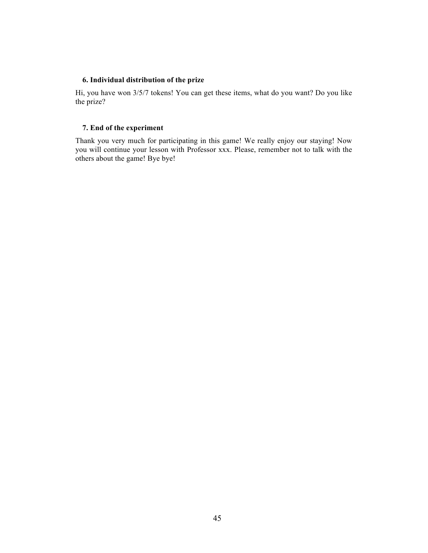#### **6. Individual distribution of the prize**

Hi, you have won 3/5/7 tokens! You can get these items, what do you want? Do you like the prize?

#### **7. End of the experiment**

Thank you very much for participating in this game! We really enjoy our staying! Now you will continue your lesson with Professor xxx. Please, remember not to talk with the others about the game! Bye bye!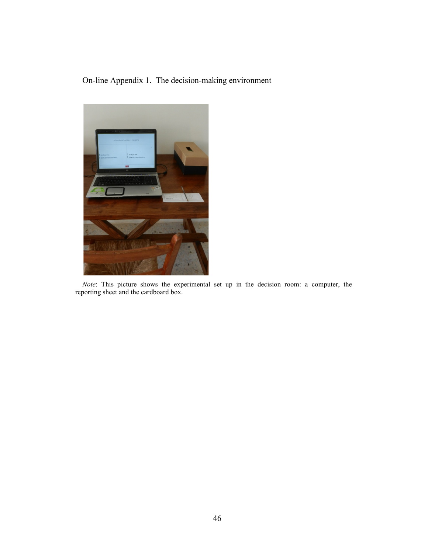On-line Appendix 1. The decision-making environment



*Note*: This picture shows the experimental set up in the decision room: a computer, the reporting sheet and the cardboard box.